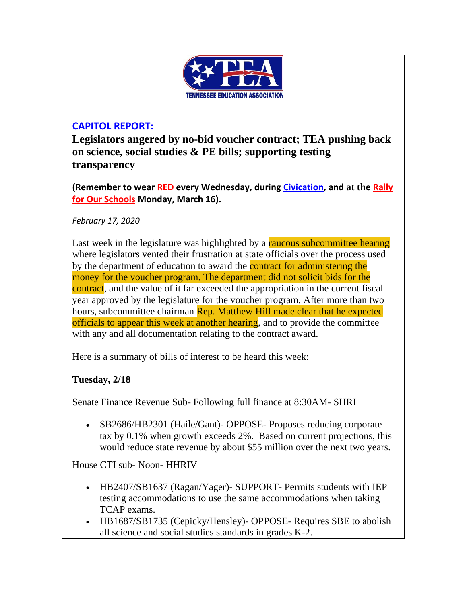

## **CAPITOL REPORT:**

**Legislators angered by no-bid voucher contract; TEA pushing back on science, social studies & PE bills; supporting testing transparency**

**(Remember to wear RED every Wednesday, during [Civication,](http://www.cvent.com/events/tea-civication/event-summary-fdfa814bfa504ffca38728d033d96363.aspx) and at the [Rally](http://www.teateachers.org/rally)  [for Our Schools](http://www.teateachers.org/rally) Monday, March 16).**

*February 17, 2020*

Last week in the legislature was highlighted by a raucous subcommittee hearing where legislators vented their frustration at state officials over the process used by the department of education to award the **contract for administering the** money for the voucher program. The department did not solicit bids for the contract, and the value of it far exceeded the appropriation in the current fiscal year approved by the legislature for the voucher program. After more than two hours, subcommittee chairman Rep. Matthew Hill made clear that he expected officials to appear this week at another hearing, and to provide the committee with any and all documentation relating to the contract award.

Here is a summary of bills of interest to be heard this week:

### **Tuesday, 2/18**

Senate Finance Revenue Sub- Following full finance at 8:30AM- SHRI

• SB2686/HB2301 (Haile/Gant)- OPPOSE- Proposes reducing corporate tax by 0.1% when growth exceeds 2%. Based on current projections, this would reduce state revenue by about \$55 million over the next two years.

House CTI sub- Noon- HHRIV

- HB2407/SB1637 (Ragan/Yager)- SUPPORT- Permits students with IEP testing accommodations to use the same accommodations when taking TCAP exams.
- HB1687/SB1735 (Cepicky/Hensley)- OPPOSE- Requires SBE to abolish all science and social studies standards in grades K-2.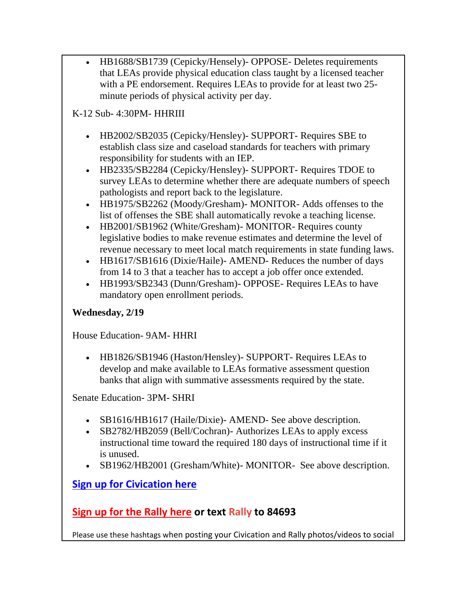• HB1688/SB1739 (Cepicky/Hensely)- OPPOSE- Deletes requirements that LEAs provide physical education class taught by a licensed teacher with a PE endorsement. Requires LEAs to provide for at least two 25 minute periods of physical activity per day.

## K-12 Sub- 4:30PM- HHRIII

- HB2002/SB2035 (Cepicky/Hensley)- SUPPORT- Requires SBE to establish class size and caseload standards for teachers with primary responsibility for students with an IEP.
- HB2335/SB2284 (Cepicky/Hensley)- SUPPORT- Requires TDOE to survey LEAs to determine whether there are adequate numbers of speech pathologists and report back to the legislature.
- HB1975/SB2262 (Moody/Gresham) MONITOR Adds offenses to the list of offenses the SBE shall automatically revoke a teaching license.
- HB2001/SB1962 (White/Gresham) MONITOR Requires county legislative bodies to make revenue estimates and determine the level of revenue necessary to meet local match requirements in state funding laws.
- HB1617/SB1616 (Dixie/Haile)- AMEND- Reduces the number of days from 14 to 3 that a teacher has to accept a job offer once extended.
- HB1993/SB2343 (Dunn/Gresham) OPPOSE Requires LEAs to have mandatory open enrollment periods.

### **Wednesday, 2/19**

House Education- 9AM- HHRI

• HB1826/SB1946 (Haston/Hensley)- SUPPORT- Requires LEAs to develop and make available to LEAs formative assessment question banks that align with summative assessments required by the state.

Senate Education- 3PM- SHRI

- SB1616/HB1617 (Haile/Dixie)- AMEND- See above description.
- SB2782/HB2059 (Bell/Cochran)- Authorizes LEAs to apply excess instructional time toward the required 180 days of instructional time if it is unused.
- SB1962/HB2001 (Gresham/White)- MONITOR- See above description.

# **[Sign up for Civication here](http://www.cvent.com/events/tea-civication/event-summary-fdfa814bfa504ffca38728d033d96363.aspx)**

# **[Sign up for the Rally here](http://www.teateachers.org/rally) or text Rally to 84693**

Please use these hashtags when posting your Civication and Rally photos/videos to social